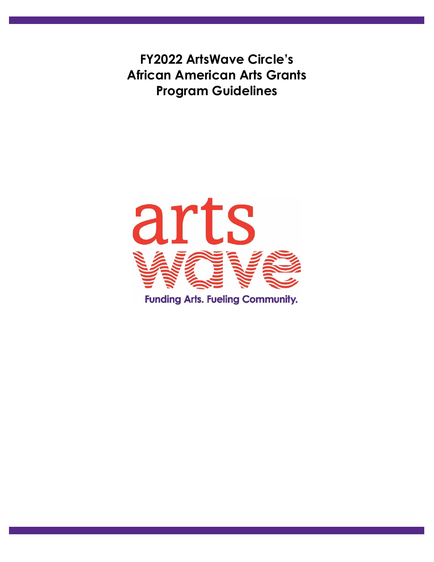**FY2022 ArtsWave Circle's African American Arts Grants Program Guidelines** 

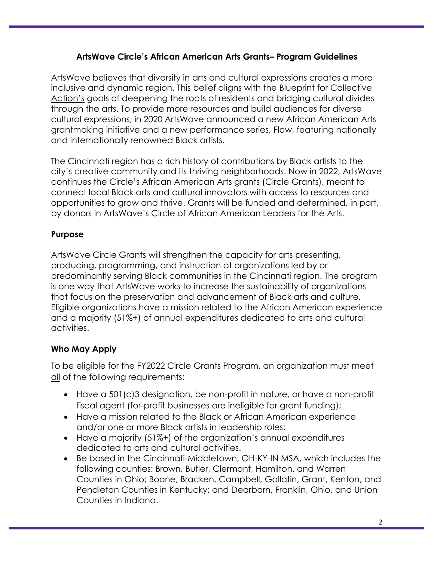## **ArtsWave Circle's African American Arts Grants– Program Guidelines**

ArtsWave believes that diversity in arts and cultural expressions creates a more inclusive and dynamic region. This belief aligns with the Blueprint for Collective Action's goals of deepening the roots of residents and bridging cultural divides through the arts. To provide more resources and build audiences for diverse cultural expressions, in 2020 ArtsWave announced a new African American Arts grantmaking initiative and a new performance series, Flow, featuring nationally and internationally renowned Black artists.

The Cincinnati region has a rich history of contributions by Black artists to the city's creative community and its thriving neighborhoods. Now in 2022, ArtsWave continues the Circle's African American Arts grants (Circle Grants), meant to connect local Black arts and cultural innovators with access to resources and opportunities to grow and thrive. Grants will be funded and determined, in part, by donors in ArtsWave's Circle of African American Leaders for the Arts.

# **Purpose**

ArtsWave Circle Grants will strengthen the capacity for arts presenting, producing, programming, and instruction at organizations led by or predominantly serving Black communities in the Cincinnati region. The program is one way that ArtsWave works to increase the sustainability of organizations that focus on the preservation and advancement of Black arts and culture. Eligible organizations have a mission related to the African American experience and a majority (51%+) of annual expenditures dedicated to arts and cultural activities.

# **Who May Apply**

To be eligible for the FY2022 Circle Grants Program, an organization must meet all of the following requirements:

- Have a 501(c)3 designation, be non-profit in nature, or have a non-profit fiscal agent (for-profit businesses are ineligible for grant funding);
- Have a mission related to the Black or African American experience and/or one or more Black artists in leadership roles;
- Have a majority (51%+) of the organization's annual expenditures dedicated to arts and cultural activities.
- Be based in the Cincinnati-Middletown, OH-KY-IN MSA, which includes the following counties: Brown, Butler, Clermont, Hamilton, and Warren Counties in Ohio; Boone, Bracken, Campbell, Gallatin, Grant, Kenton, and Pendleton Counties in Kentucky; and Dearborn, Franklin, Ohio, and Union Counties in Indiana.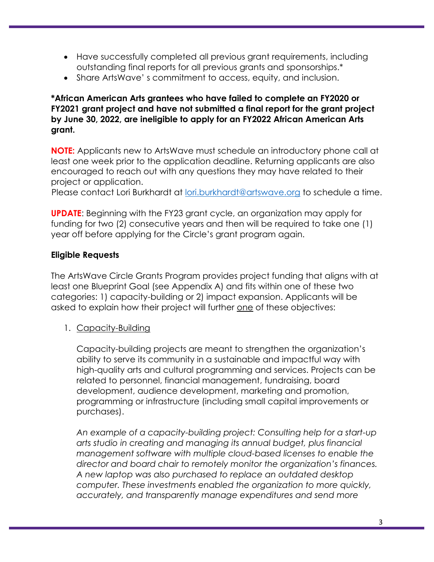- Have successfully completed all previous grant requirements, including outstanding final reports for all previous grants and sponsorships.\*
- Share ArtsWave' s commitment to access, equity, and inclusion.

#### **\*African American Arts grantees who have failed to complete an FY2020 or FY2021 grant project and have not submitted a final report for the grant project by June 30, 2022, are ineligible to apply for an FY2022 African American Arts grant.**

**NOTE:** Applicants new to ArtsWave must schedule an introductory phone call at least one week prior to the application deadline. Returning applicants are also encouraged to reach out with any questions they may have related to their project or application.

Please contact Lori Burkhardt at [lori.burkhardt@artswave.org](mailto:lori.burkhardt@artswave.org) to schedule a time.

**UPDATE**: Beginning with the FY23 grant cycle, an organization may apply for funding for two (2) consecutive years and then will be required to take one (1) year off before applying for the Circle's grant program again.

## **Eligible Requests**

The ArtsWave Circle Grants Program provides project funding that aligns with at least one Blueprint Goal (see Appendix A) and fits within one of these two categories: 1) capacity-building or 2) impact expansion. Applicants will be asked to explain how their project will further one of these objectives:

1. Capacity-Building

Capacity-building projects are meant to strengthen the organization's ability to serve its community in a sustainable and impactful way with high-quality arts and cultural programming and services. Projects can be related to personnel, financial management, fundraising, board development, audience development, marketing and promotion, programming or infrastructure (including small capital improvements or purchases).

*An example of a capacity-building project: Consulting help for a start-up arts studio in creating and managing its annual budget, plus financial management software with multiple cloud-based licenses to enable the director and board chair to remotely monitor the organization's finances. A new laptop was also purchased to replace an outdated desktop computer. These investments enabled the organization to more quickly, accurately, and transparently manage expenditures and send more*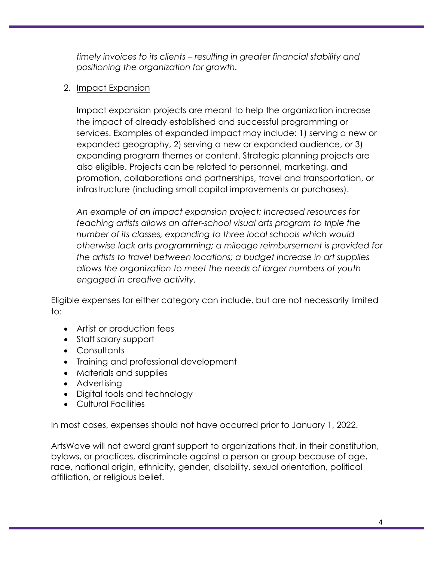*timely invoices to its clients – resulting in greater financial stability and positioning the organization for growth.*

## 2. Impact Expansion

Impact expansion projects are meant to help the organization increase the impact of already established and successful programming or services. Examples of expanded impact may include: 1) serving a new or expanded geography, 2) serving a new or expanded audience, or 3) expanding program themes or content. Strategic planning projects are also eligible. Projects can be related to personnel, marketing, and promotion, collaborations and partnerships, travel and transportation, or infrastructure (including small capital improvements or purchases).

*An example of an impact expansion project: Increased resources for teaching artists allows an after-school visual arts program to triple the number of its classes, expanding to three local schools which would otherwise lack arts programming; a mileage reimbursement is provided for the artists to travel between locations; a budget increase in art supplies allows the organization to meet the needs of larger numbers of youth engaged in creative activity.*

Eligible expenses for either category can include, but are not necessarily limited to:

- Artist or production fees
- Staff salary support
- Consultants
- Training and professional development
- Materials and supplies
- Advertising
- Digital tools and technology
- Cultural Facilities

In most cases, expenses should not have occurred prior to January 1, 2022.

ArtsWave will not award grant support to organizations that, in their constitution, bylaws, or practices, discriminate against a person or group because of age, race, national origin, ethnicity, gender, disability, sexual orientation, political affiliation, or religious belief.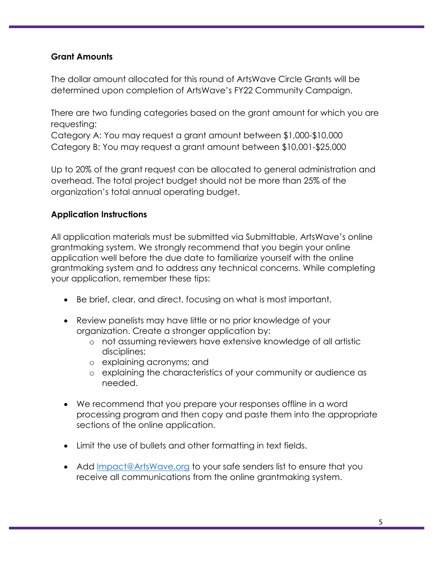#### **Grant Amounts**

The dollar amount allocated for this round of ArtsWave Circle Grants will be determined upon completion of ArtsWave's FY22 Community Campaign.

There are two funding categories based on the grant amount for which you are requesting:

Category A: You may request a grant amount between \$1,000-\$10,000 Category B: You may request a grant amount between \$10,001-\$25,000

Up to 20% of the grant request can be allocated to general administration and overhead. The total project budget should not be more than 25% of the organization's total annual operating budget.

#### **Application Instructions**

All application materials must be submitted via Submittable, ArtsWave's online grantmaking system. We strongly recommend that you begin your online application well before the due date to familiarize yourself with the online grantmaking system and to address any technical concerns. While completing your application, remember these tips:

- Be brief, clear, and direct, focusing on what is most important.
- Review panelists may have little or no prior knowledge of your organization. Create a stronger application by:
	- o not assuming reviewers have extensive knowledge of all artistic disciplines;
	- o explaining acronyms; and
	- o explaining the characteristics of your community or audience as needed.
- We recommend that you prepare your responses offline in a word processing program and then copy and paste them into the appropriate sections of the online application.
- Limit the use of bullets and other formatting in text fields.
- Add [Impact@ArtsWave.org](mailto:Impact@ArtsWave.org) to your safe senders list to ensure that you receive all communications from the online grantmaking system.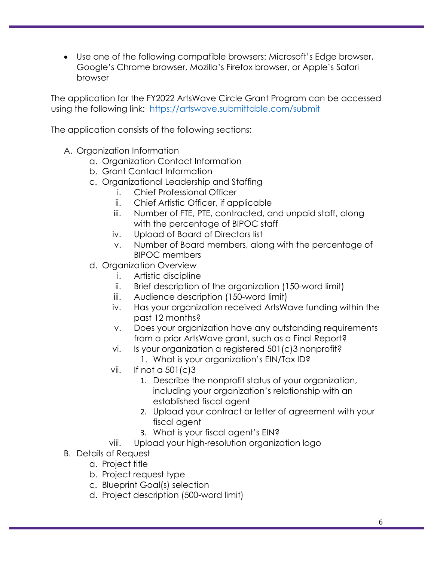• Use one of the following compatible browsers: Microsoft's Edge browser, Google's Chrome browser, Mozilla's Firefox browser, or Apple's Safari browser

The application for the FY2022 ArtsWave Circle Grant Program can be accessed using the following link: <https://artswave.submittable.com/submit>

The application consists of the following sections:

- A. Organization Information
	- a. Organization Contact Information
	- b. Grant Contact Information
	- c. Organizational Leadership and Staffing
		- i. Chief Professional Officer
		- ii. Chief Artistic Officer, if applicable
		- iii. Number of FTE, PTE, contracted, and unpaid staff, along with the percentage of BIPOC staff
		- iv. Upload of Board of Directors list
		- v. Number of Board members, along with the percentage of BIPOC members
	- d. Organization Overview
		- i. Artistic discipline
		- ii. Brief description of the organization (150-word limit)
		- iii. Audience description (150-word limit)
		- iv. Has your organization received ArtsWave funding within the past 12 months?
		- v. Does your organization have any outstanding requirements from a prior ArtsWave grant, such as a Final Report?
		- vi. Is your organization a registered 501(c)3 nonprofit?
			- 1. What is your organization's EIN/Tax ID?
		- vii. If not a 501(c)3
			- 1. Describe the nonprofit status of your organization, including your organization's relationship with an established fiscal agent
			- 2. Upload your contract or letter of agreement with your fiscal agent
			- 3. What is your fiscal agent's EIN?
		- viii. Upload your high-resolution organization logo
- B. Details of Request
	- a. Project title
	- b. Project request type
	- c. Blueprint Goal(s) selection
	- d. Project description (500-word limit)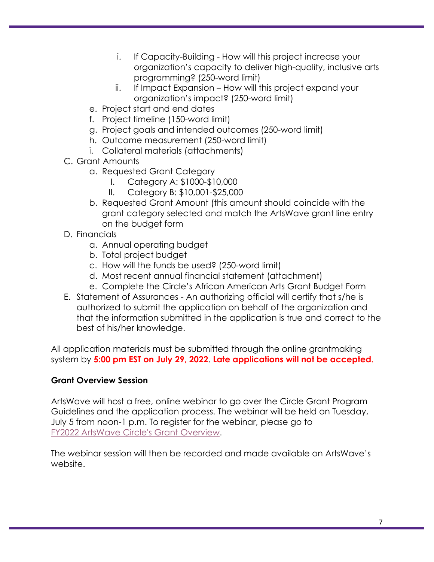- i. If Capacity-Building How will this project increase your organization's capacity to deliver high-quality, inclusive arts programming? (250-word limit)
- ii. If Impact Expansion How will this project expand your organization's impact? (250-word limit)
- e. Project start and end dates
- f. Project timeline (150-word limit)
- g. Project goals and intended outcomes (250-word limit)
- h. Outcome measurement (250-word limit)
- i. Collateral materials (attachments)
- C. Grant Amounts
	- a. Requested Grant Category
		- I. Category A: \$1000-\$10,000
		- II. Category B: \$10,001-\$25,000
	- b. Requested Grant Amount (this amount should coincide with the grant category selected and match the ArtsWave grant line entry on the budget form
- D. Financials
	- a. Annual operating budget
	- b. Total project budget
	- c. How will the funds be used? (250-word limit)
	- d. Most recent annual financial statement (attachment)
	- e. Complete the Circle's African American Arts Grant Budget Form
- E. Statement of Assurances An authorizing official will certify that s/he is authorized to submit the application on behalf of the organization and that the information submitted in the application is true and correct to the best of his/her knowledge.

All application materials must be submitted through the online grantmaking system by **5:00 pm EST on July 29, 2022**. **Late applications will not be accepted.**

# **Grant Overview Session**

ArtsWave will host a free, online webinar to go over the Circle Grant Program Guidelines and the application process. The webinar will be held on Tuesday, July 5 from noon-1 p.m. To register for the webinar, please go to [FY2022 ArtsWave Circle's Grant Overview.](https://www.eventbrite.com/e/fy2022-artswave-circles-african-american-arts-grant-program-webinar-tickets-365988991927)

The webinar session will then be recorded and made available on ArtsWave's website.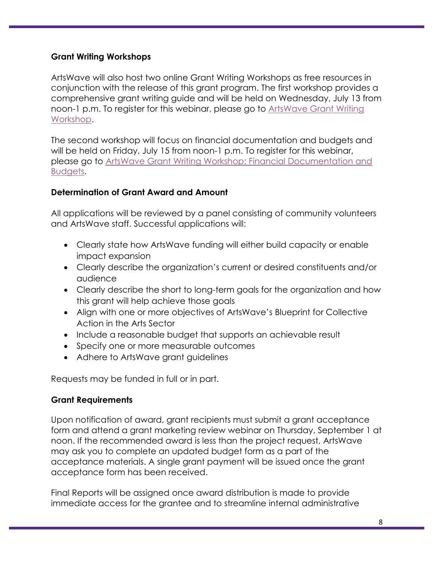#### **Grant Writing Workshops**

ArtsWave will also host two online Grant Writing Workshops as free resources in conjunction with the release of this grant program. The first workshop provides a comprehensive grant writing guide and will be held on Wednesday, July 13 from noon-1 p.m. To register for this webinar, please go to [ArtsWave Grant Writing](https://www.eventbrite.com/e/artswave-grant-writing-workshop-tickets-365995260677)  [Workshop.](https://www.eventbrite.com/e/artswave-grant-writing-workshop-tickets-365995260677)

The second workshop will focus on financial documentation and budgets and will be held on Friday, July 15 from noon-1 p.m. To register for this webinar, please go to [ArtsWave Grant Writing Workshop: Financial Documentation and](https://www.eventbrite.com/e/artswave-grant-writing-workshop-financial-documentation-and-budgets-tickets-366002392007)  [Budgets.](https://www.eventbrite.com/e/artswave-grant-writing-workshop-financial-documentation-and-budgets-tickets-366002392007)

## **Determination of Grant Award and Amount**

All applications will be reviewed by a panel consisting of community volunteers and ArtsWave staff. Successful applications will:

- Clearly state how ArtsWave funding will either build capacity or enable impact expansion
- Clearly describe the organization's current or desired constituents and/or audience
- Clearly describe the short to long-term goals for the organization and how this grant will help achieve those goals
- Align with one or more objectives of ArtsWave's Blueprint for Collective Action in the Arts Sector
- Include a reasonable budget that supports an achievable result
- Specify one or more measurable outcomes
- Adhere to ArtsWave grant guidelines

Requests may be funded in full or in part.

## **Grant Requirements**

Upon notification of award, grant recipients must submit a grant acceptance form and attend a grant marketing review webinar on Thursday, September 1 at noon. If the recommended award is less than the project request, ArtsWave may ask you to complete an updated budget form as a part of the acceptance materials. A single grant payment will be issued once the grant acceptance form has been received.

Final Reports will be assigned once award distribution is made to provide immediate access for the grantee and to streamline internal administrative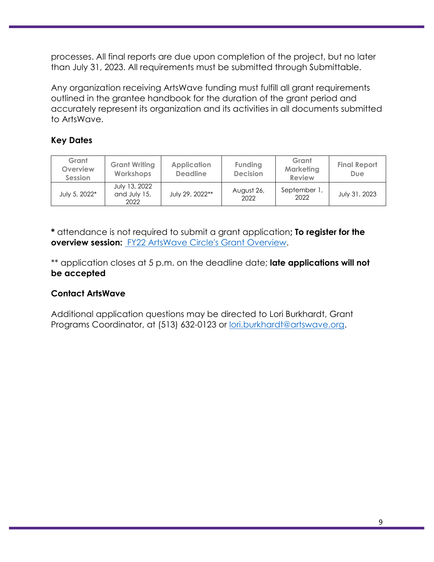processes. All final reports are due upon completion of the project, but no later than July 31, 2023. All requirements must be submitted through Submittable.

Any organization receiving ArtsWave funding must fulfill all grant requirements outlined in the grantee handbook for the duration of the grant period and accurately represent its organization and its activities in all documents submitted to ArtsWave.

# **Key Dates**

| Grant<br>Overview<br>Session | <b>Grant Writing</b><br><b>Workshops</b> | <b>Application</b><br><b>Deadline</b> | Funding<br><b>Decision</b> | Grant<br><b>Marketing</b><br><b>Review</b> | <b>Final Report</b><br>Due |
|------------------------------|------------------------------------------|---------------------------------------|----------------------------|--------------------------------------------|----------------------------|
| July 5, 2022*                | July 13, 2022<br>and July 15,<br>2022    | July 29, 2022**                       | August 26,<br>2022         | September 1<br>2022                        | July 31, 2023              |

**\*** attendance is not required to submit a grant application**; To register for the overview session:** [FY22 ArtsWave Circle's Grant Overview.](https://www.eventbrite.com/e/fy2022-artswave-circles-african-american-arts-grant-program-webinar-tickets-365988991927.)

\*\* application closes at 5 p.m. on the deadline date; **late applications will not be accepted**

# **Contact ArtsWave**

Additional application questions may be directed to Lori Burkhardt, Grant Programs Coordinator, at (513) 632-0123 or [lori.burkhardt@artswave.org.](mailto:lori.burkhardt@artswave.org)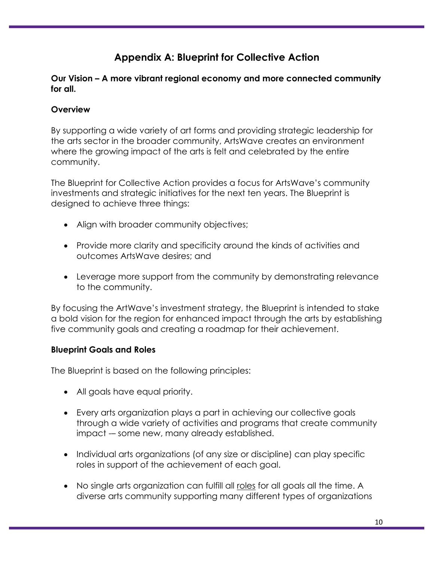# **Appendix A: Blueprint for Collective Action**

#### **Our Vision – A more vibrant regional economy and more connected community for all.**

# **Overview**

By supporting a wide variety of art forms and providing strategic leadership for the arts sector in the broader community, ArtsWave creates an environment where the growing impact of the arts is felt and celebrated by the entire community.

The Blueprint for Collective Action provides a focus for ArtsWave's community investments and strategic initiatives for the next ten years. The Blueprint is designed to achieve three things:

- Align with broader community objectives;
- Provide more clarity and specificity around the kinds of activities and outcomes ArtsWave desires; and
- Leverage more support from the community by demonstrating relevance to the community.

By focusing the ArtWave's investment strategy, the Blueprint is intended to stake a bold vision for the region for enhanced impact through the arts by establishing five community goals and creating a roadmap for their achievement.

## **Blueprint Goals and Roles**

The Blueprint is based on the following principles:

- All goals have equal priority.
- Every arts organization plays a part in achieving our collective goals through a wide variety of activities and programs that create community impact - some new, many already established.
- Individual arts organizations (of any size or discipline) can play specific roles in support of the achievement of each goal.
- No single arts organization can fulfill all roles for all goals all the time. A diverse arts community supporting many different types of organizations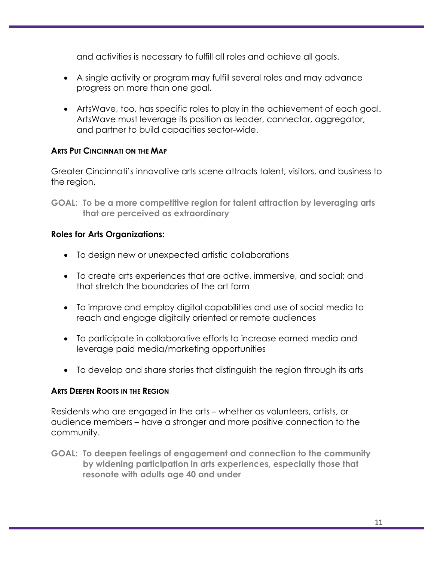and activities is necessary to fulfill all roles and achieve all goals.

- A single activity or program may fulfill several roles and may advance progress on more than one goal.
- ArtsWave, too, has specific roles to play in the achievement of each goal. ArtsWave must leverage its position as leader, connector, aggregator, and partner to build capacities sector-wide.

#### **ARTS PUT CINCINNATI ON THE MAP**

Greater Cincinnati's innovative arts scene attracts talent, visitors, and business to the region.

**GOAL: To be a more competitive region for talent attraction by leveraging arts that are perceived as extraordinary**

#### **Roles for Arts Organizations:**

- To design new or unexpected artistic collaborations
- To create arts experiences that are active, immersive, and social; and that stretch the boundaries of the art form
- To improve and employ digital capabilities and use of social media to reach and engage digitally oriented or remote audiences
- To participate in collaborative efforts to increase earned media and leverage paid media/marketing opportunities
- To develop and share stories that distinguish the region through its arts

#### **ARTS DEEPEN ROOTS IN THE REGION**

Residents who are engaged in the arts – whether as volunteers, artists, or audience members – have a stronger and more positive connection to the community.

**GOAL: To deepen feelings of engagement and connection to the community by widening participation in arts experiences, especially those that resonate with adults age 40 and under**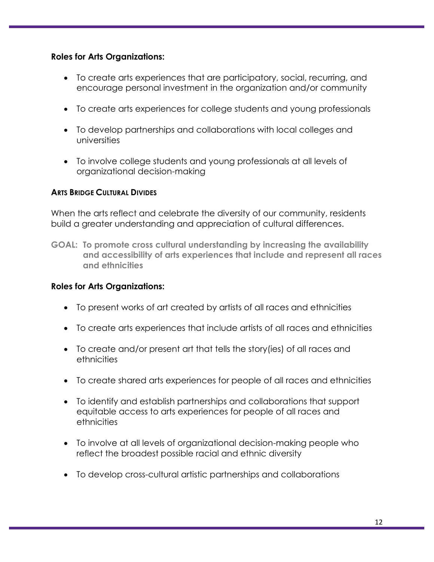#### **Roles for Arts Organizations:**

- To create arts experiences that are participatory, social, recurring, and encourage personal investment in the organization and/or community
- To create arts experiences for college students and young professionals
- To develop partnerships and collaborations with local colleges and universities
- To involve college students and young professionals at all levels of organizational decision-making

#### **ARTS BRIDGE CULTURAL DIVIDES**

When the arts reflect and celebrate the diversity of our community, residents build a greater understanding and appreciation of cultural differences.

**GOAL: To promote cross cultural understanding by increasing the availability and accessibility of arts experiences that include and represent all races and ethnicities**

## **Roles for Arts Organizations:**

- To present works of art created by artists of all races and ethnicities
- To create arts experiences that include artists of all races and ethnicities
- To create and/or present art that tells the story(ies) of all races and ethnicities
- To create shared arts experiences for people of all races and ethnicities
- To identify and establish partnerships and collaborations that support equitable access to arts experiences for people of all races and ethnicities
- To involve at all levels of organizational decision-making people who reflect the broadest possible racial and ethnic diversity
- To develop cross-cultural artistic partnerships and collaborations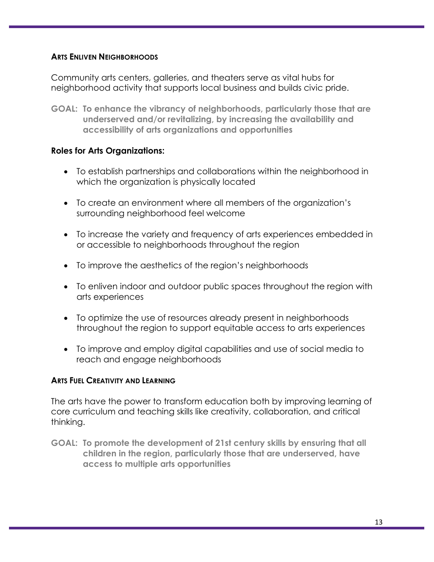#### **ARTS ENLIVEN NEIGHBORHOODS**

Community arts centers, galleries, and theaters serve as vital hubs for neighborhood activity that supports local business and builds civic pride.

**GOAL: To enhance the vibrancy of neighborhoods, particularly those that are underserved and/or revitalizing, by increasing the availability and accessibility of arts organizations and opportunities**

#### **Roles for Arts Organizations:**

- To establish partnerships and collaborations within the neighborhood in which the organization is physically located
- To create an environment where all members of the organization's surrounding neighborhood feel welcome
- To increase the variety and frequency of arts experiences embedded in or accessible to neighborhoods throughout the region
- To improve the aesthetics of the region's neighborhoods
- To enliven indoor and outdoor public spaces throughout the region with arts experiences
- To optimize the use of resources already present in neighborhoods throughout the region to support equitable access to arts experiences
- To improve and employ digital capabilities and use of social media to reach and engage neighborhoods

#### **ARTS FUEL CREATIVITY AND LEARNING**

The arts have the power to transform education both by improving learning of core curriculum and teaching skills like creativity, collaboration, and critical thinking.

**GOAL: To promote the development of 21st century skills by ensuring that all children in the region, particularly those that are underserved, have access to multiple arts opportunities**